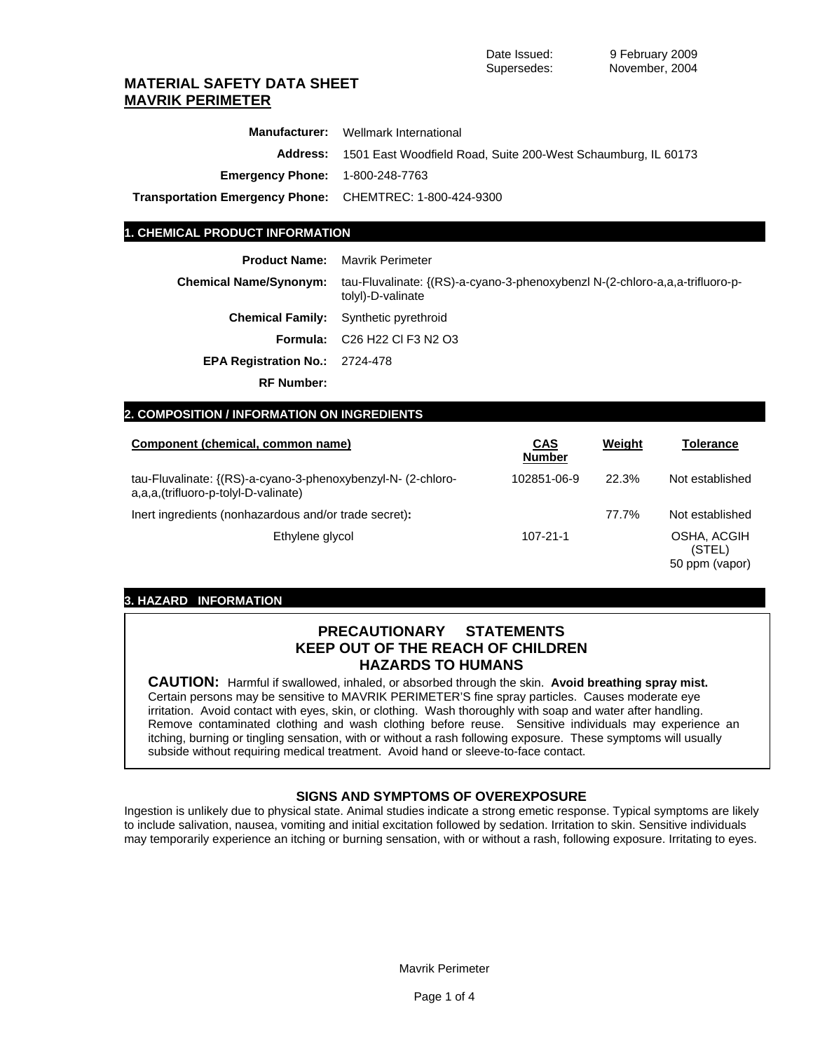## **MATERIAL SAFETY DATA SHEET MAVRIK PERIMETER**

|                                                                 | <b>Manufacturer:</b> Wellmark International                                   |
|-----------------------------------------------------------------|-------------------------------------------------------------------------------|
|                                                                 | <b>Address:</b> 1501 East Woodfield Road, Suite 200-West Schaumburg, IL 60173 |
| <b>Emergency Phone: 1-800-248-7763</b>                          |                                                                               |
| <b>Transportation Emergency Phone:</b> CHEMTREC: 1-800-424-9300 |                                                                               |

## **1. CHEMICAL PRODUCT INFORMATION**

**Product Name:** Mavrik Perimeter

| <b>Chemical Name/Synonym:</b>         | tau-Fluvalinate: {(RS)-a-cyano-3-phenoxybenzl N-(2-chloro-a,a,a-trifluoro-p-<br>tolyl)-D-valinate |
|---------------------------------------|---------------------------------------------------------------------------------------------------|
|                                       | <b>Chemical Family:</b> Synthetic pyrethroid                                                      |
|                                       | <b>Formula:</b> C <sub>26</sub> H <sub>22</sub> Cl F <sub>3</sub> N <sub>2</sub> O <sub>3</sub>   |
| <b>EPA Registration No.: 2724-478</b> |                                                                                                   |
| <b>RF Number:</b>                     |                                                                                                   |

## **2. COMPOSITION / INFORMATION ON INGREDIENTS**

| Component (chemical, common name)                                                                    | <b>CAS</b><br><b>Number</b> | Weight | Tolerance                               |
|------------------------------------------------------------------------------------------------------|-----------------------------|--------|-----------------------------------------|
| tau-Fluvalinate: {(RS)-a-cyano-3-phenoxybenzyl-N- (2-chloro-<br>a,a,a,(trifluoro-p-tolyl-D-valinate) | 102851-06-9                 | 22.3%  | Not established                         |
| lnert ingredients (nonhazardous and/or trade secret):                                                |                             | 77.7%  | Not established                         |
| Ethylene glycol                                                                                      | $107 - 21 - 1$              |        | OSHA, ACGIH<br>(STEL)<br>50 ppm (vapor) |

## **3. HAZARD INFORMATION**

## **PRECAUTIONARY STATEMENTS KEEP OUT OF THE REACH OF CHILDREN HAZARDS TO HUMANS**

**CAUTION:** Harmful if swallowed, inhaled, or absorbed through the skin. **Avoid breathing spray mist.**  Certain persons may be sensitive to MAVRIK PERIMETER'S fine spray particles. Causes moderate eye irritation. Avoid contact with eyes, skin, or clothing. Wash thoroughly with soap and water after handling. Remove contaminated clothing and wash clothing before reuse. Sensitive individuals may experience an itching, burning or tingling sensation, with or without a rash following exposure. These symptoms will usually subside without requiring medical treatment. Avoid hand or sleeve-to-face contact.

## **SIGNS AND SYMPTOMS OF OVEREXPOSURE**

Ingestion is unlikely due to physical state. Animal studies indicate a strong emetic response. Typical symptoms are likely to include salivation, nausea, vomiting and initial excitation followed by sedation. Irritation to skin. Sensitive individuals may temporarily experience an itching or burning sensation, with or without a rash, following exposure. Irritating to eyes.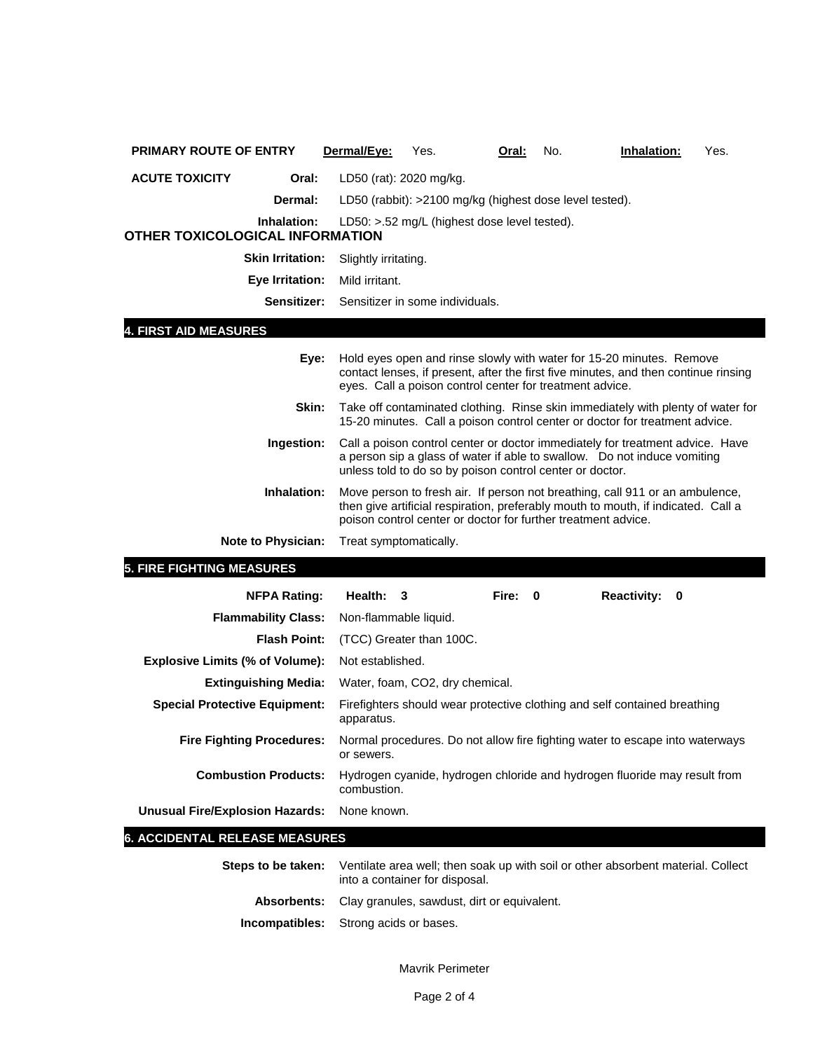| <b>PRIMARY ROUTE OF ENTRY</b>                         | Dermal/Eye:             | Yes.                                                                                                                                                                                                                               | Oral: | No. | Inhalation:                                                                                                                                                    | Yes. |
|-------------------------------------------------------|-------------------------|------------------------------------------------------------------------------------------------------------------------------------------------------------------------------------------------------------------------------------|-------|-----|----------------------------------------------------------------------------------------------------------------------------------------------------------------|------|
| <b>ACUTE TOXICITY</b><br>Oral:                        | LD50 (rat): 2020 mg/kg. |                                                                                                                                                                                                                                    |       |     |                                                                                                                                                                |      |
| <b>Dermal:</b>                                        |                         | LD50 (rabbit): >2100 mg/kg (highest dose level tested).                                                                                                                                                                            |       |     |                                                                                                                                                                |      |
| Inhalation:<br><b>OTHER TOXICOLOGICAL INFORMATION</b> |                         | LD50: >.52 mg/L (highest dose level tested).                                                                                                                                                                                       |       |     |                                                                                                                                                                |      |
| <b>Skin Irritation:</b>                               | Slightly irritating.    |                                                                                                                                                                                                                                    |       |     |                                                                                                                                                                |      |
| Eye Irritation:                                       | Mild irritant.          |                                                                                                                                                                                                                                    |       |     |                                                                                                                                                                |      |
| Sensitizer:                                           |                         | Sensitizer in some individuals.                                                                                                                                                                                                    |       |     |                                                                                                                                                                |      |
| 4. FIRST AID MEASURES                                 |                         |                                                                                                                                                                                                                                    |       |     |                                                                                                                                                                |      |
| Eye:                                                  |                         | eyes. Call a poison control center for treatment advice.                                                                                                                                                                           |       |     | Hold eyes open and rinse slowly with water for 15-20 minutes. Remove<br>contact lenses, if present, after the first five minutes, and then continue rinsing    |      |
| Skin:                                                 |                         |                                                                                                                                                                                                                                    |       |     | Take off contaminated clothing. Rinse skin immediately with plenty of water for<br>15-20 minutes. Call a poison control center or doctor for treatment advice. |      |
| Ingestion:                                            |                         | unless told to do so by poison control center or doctor.                                                                                                                                                                           |       |     | Call a poison control center or doctor immediately for treatment advice. Have<br>a person sip a glass of water if able to swallow. Do not induce vomiting      |      |
| Inhalation:                                           |                         | Move person to fresh air. If person not breathing, call 911 or an ambulence,<br>then give artificial respiration, preferably mouth to mouth, if indicated. Call a<br>poison control center or doctor for further treatment advice. |       |     |                                                                                                                                                                |      |
| Note to Physician:                                    | Treat symptomatically.  |                                                                                                                                                                                                                                    |       |     |                                                                                                                                                                |      |
| <b>5. FIRE FIGHTING MEASURES</b>                      |                         |                                                                                                                                                                                                                                    |       |     |                                                                                                                                                                |      |
| <b>NFPA Rating:</b>                                   | Health:                 | 3                                                                                                                                                                                                                                  | Fire: | 0   | <b>Reactivity:</b><br>0                                                                                                                                        |      |
| <b>Flammability Class:</b>                            | Non-flammable liquid.   |                                                                                                                                                                                                                                    |       |     |                                                                                                                                                                |      |
| <b>Flash Point:</b>                                   |                         | (TCC) Greater than 100C.                                                                                                                                                                                                           |       |     |                                                                                                                                                                |      |
| <b>Explosive Limits (% of Volume):</b>                | Not established.        |                                                                                                                                                                                                                                    |       |     |                                                                                                                                                                |      |
| <b>Extinguishing Media:</b>                           |                         | Water, foam, CO2, dry chemical.                                                                                                                                                                                                    |       |     |                                                                                                                                                                |      |
| <b>Special Protective Equipment:</b>                  | apparatus.              |                                                                                                                                                                                                                                    |       |     | Firefighters should wear protective clothing and self contained breathing                                                                                      |      |
| <b>Fire Fighting Procedures:</b>                      | or sewers.              |                                                                                                                                                                                                                                    |       |     | Normal procedures. Do not allow fire fighting water to escape into waterways                                                                                   |      |
| <b>Combustion Products:</b>                           | combustion.             |                                                                                                                                                                                                                                    |       |     | Hydrogen cyanide, hydrogen chloride and hydrogen fluoride may result from                                                                                      |      |
| <b>Unusual Fire/Explosion Hazards:</b>                | None known.             |                                                                                                                                                                                                                                    |       |     |                                                                                                                                                                |      |
| <b>6. ACCIDENTAL RELEASE MEASURES</b>                 |                         |                                                                                                                                                                                                                                    |       |     |                                                                                                                                                                |      |
| Steps to be taken:                                    |                         | into a container for disposal.                                                                                                                                                                                                     |       |     | Ventilate area well; then soak up with soil or other absorbent material. Collect                                                                               |      |
| <b>Absorbents:</b>                                    |                         | Clay granules, sawdust, dirt or equivalent.                                                                                                                                                                                        |       |     |                                                                                                                                                                |      |

**Incompatibles:** Strong acids or bases.

Mavrik Perimeter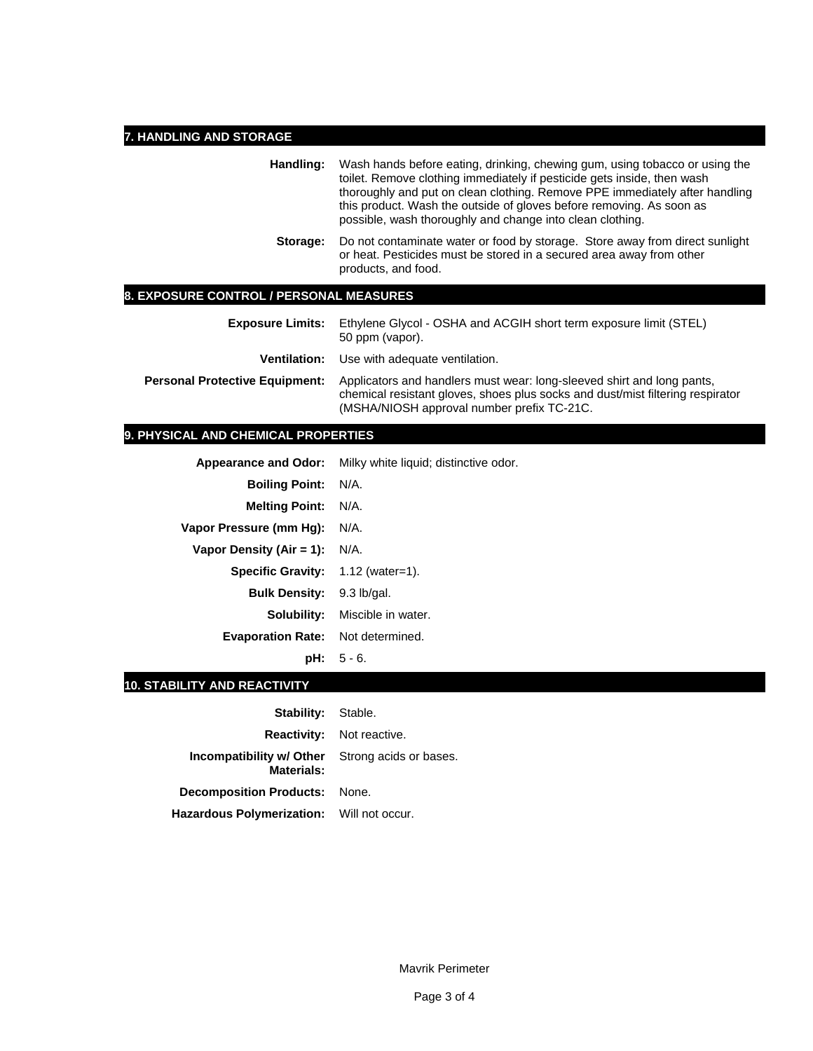# **7. HANDLING AND STORAGE**

| Handling:                                      | Wash hands before eating, drinking, chewing gum, using tobacco or using the<br>toilet. Remove clothing immediately if pesticide gets inside, then wash<br>thoroughly and put on clean clothing. Remove PPE immediately after handling<br>this product. Wash the outside of gloves before removing. As soon as<br>possible, wash thoroughly and change into clean clothing. |  |  |
|------------------------------------------------|----------------------------------------------------------------------------------------------------------------------------------------------------------------------------------------------------------------------------------------------------------------------------------------------------------------------------------------------------------------------------|--|--|
| Storage:                                       | Do not contaminate water or food by storage. Store away from direct sunlight<br>or heat. Pesticides must be stored in a secured area away from other<br>products, and food.                                                                                                                                                                                                |  |  |
| <b>8. EXPOSURE CONTROL / PERSONAL MEASURES</b> |                                                                                                                                                                                                                                                                                                                                                                            |  |  |
| <b>Exposure Limits:</b>                        | Ethylene Glycol - OSHA and ACGIH short term exposure limit (STEL)<br>50 ppm (vapor).                                                                                                                                                                                                                                                                                       |  |  |
| Ventilation:                                   | Use with adequate ventilation.                                                                                                                                                                                                                                                                                                                                             |  |  |

**Personal Protective Equipment:** Applicators and handlers must wear: long-sleeved shirt and long pants, chemical resistant gloves, shoes plus socks and dust/mist filtering respirator (MSHA/NIOSH approval number prefix TC-21C.

# **9. PHYSICAL AND CHEMICAL PROPERTIES**

|                                            | Appearance and Odor: Milky white liquid; distinctive odor. |
|--------------------------------------------|------------------------------------------------------------|
| <b>Boiling Point: N/A.</b>                 |                                                            |
| <b>Melting Point:</b>                      | $N/A$ .                                                    |
| Vapor Pressure (mm Hg):                    | N/A.                                                       |
| Vapor Density (Air = 1):                   | N/A.                                                       |
| <b>Specific Gravity:</b> $1.12$ (water=1). |                                                            |
| <b>Bulk Density:</b> 9.3 lb/gal.           |                                                            |
|                                            | <b>Solubility:</b> Miscible in water.                      |
| <b>Evaporation Rate:</b> Not determined.   |                                                            |
|                                            | $pH: 5 - 6.$                                               |

# **10. STABILITY AND REACTIVITY**

| <b>Stability:</b> Stable.                                            |                                  |
|----------------------------------------------------------------------|----------------------------------|
|                                                                      | <b>Reactivity:</b> Not reactive. |
| <b>Incompatibility w/ Other</b> Strong acids or bases.<br>Materials: |                                  |
| <b>Decomposition Products: None.</b>                                 |                                  |
| Hazardous Polymerization: Will not occur.                            |                                  |